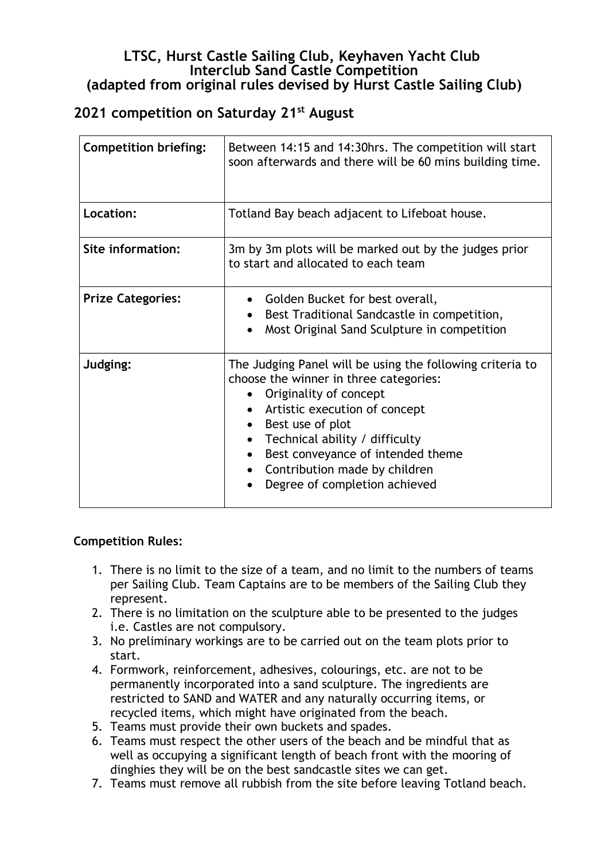## **LTSC, Hurst Castle Sailing Club, Keyhaven Yacht Club Interclub Sand Castle Competition (adapted from original rules devised by Hurst Castle Sailing Club)**

## **2021 competition on Saturday 21st August**

| <b>Competition briefing:</b> | Between 14:15 and 14:30hrs. The competition will start<br>soon afterwards and there will be 60 mins building time.                                                                                                                                                                                                                                                              |
|------------------------------|---------------------------------------------------------------------------------------------------------------------------------------------------------------------------------------------------------------------------------------------------------------------------------------------------------------------------------------------------------------------------------|
| Location:                    | Totland Bay beach adjacent to Lifeboat house.                                                                                                                                                                                                                                                                                                                                   |
| Site information:            | 3m by 3m plots will be marked out by the judges prior<br>to start and allocated to each team                                                                                                                                                                                                                                                                                    |
| <b>Prize Categories:</b>     | • Golden Bucket for best overall,<br>Best Traditional Sandcastle in competition,<br>$\bullet$<br>Most Original Sand Sculpture in competition                                                                                                                                                                                                                                    |
| Judging:                     | The Judging Panel will be using the following criteria to<br>choose the winner in three categories:<br>Originality of concept<br>Artistic execution of concept<br>Best use of plot<br>$\bullet$<br>Technical ability / difficulty<br>$\bullet$<br>Best conveyance of intended theme<br>$\bullet$<br>Contribution made by children<br>$\bullet$<br>Degree of completion achieved |

## **Competition Rules:**

- 1. There is no limit to the size of a team, and no limit to the numbers of teams per Sailing Club. Team Captains are to be members of the Sailing Club they represent.
- 2. There is no limitation on the sculpture able to be presented to the judges i.e. Castles are not compulsory.
- 3. No preliminary workings are to be carried out on the team plots prior to start.
- 4. Formwork, reinforcement, adhesives, colourings, etc. are not to be permanently incorporated into a sand sculpture. The ingredients are restricted to SAND and WATER and any naturally occurring items, or recycled items, which might have originated from the beach.
- 5. Teams must provide their own buckets and spades.
- 6. Teams must respect the other users of the beach and be mindful that as well as occupying a significant length of beach front with the mooring of dinghies they will be on the best sandcastle sites we can get.
- 7. Teams must remove all rubbish from the site before leaving Totland beach.